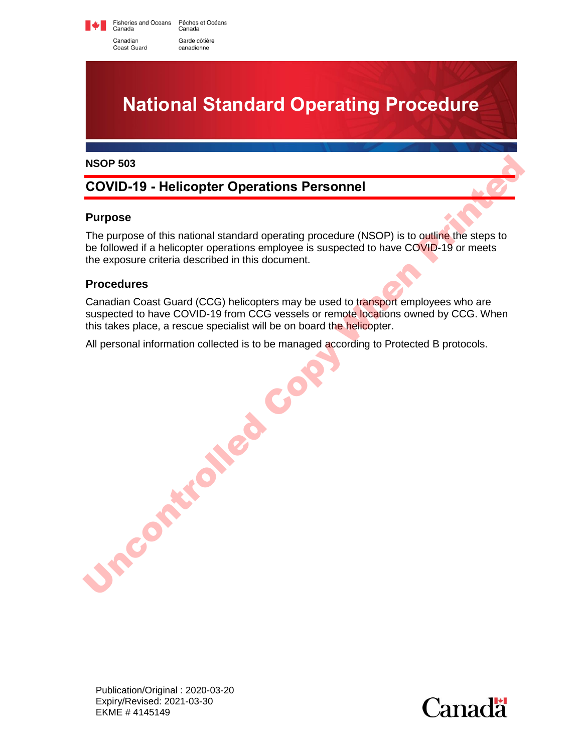Fisheries and Oceans Pêches et Océans<br>Canada Canada Canadian Garde côtière Coast Guard canadienne



#### **NSOP 503**

# **COVID-19 - Helicopter Operations Personnel**

#### **Purpose**

The purpose of this national standard operating procedure (NSOP) is to outline the steps to be followed if a helicopter operations employee is suspected to have COVID-19 or meets the exposure criteria described in this document.

#### **Procedures**

Canadian Coast Guard (CCG) helicopters may be used to transport employees who are suspected to have COVID-19 from CCG vessels or remote locations owned by CCG. When this takes place, a rescue specialist will be on board the helicopter. NSOP 503<br>
COVID-19 - Helicopter Operations Personnel<br>
Purpose<br>
The purpose of this national standard operating procedure (NSOP) is to outline the steps to<br>
be ioliowed in a helicopter operations employees suspected to have

All personal information collected is to be managed according to Protected B protocols.

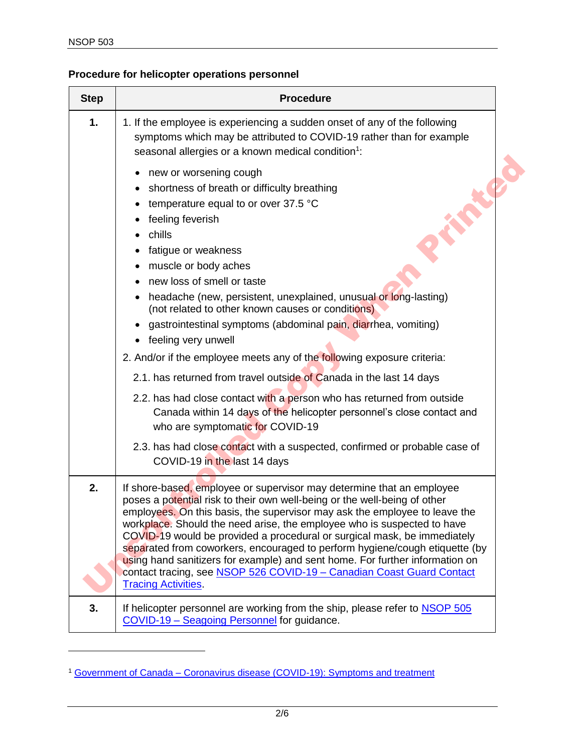## **Procedure for helicopter operations personnel**

| <b>Step</b> | <b>Procedure</b>                                                                                                                                                                                                                                                                                                                                                                                                                                                                                                                                                                                                                                                                   |
|-------------|------------------------------------------------------------------------------------------------------------------------------------------------------------------------------------------------------------------------------------------------------------------------------------------------------------------------------------------------------------------------------------------------------------------------------------------------------------------------------------------------------------------------------------------------------------------------------------------------------------------------------------------------------------------------------------|
| 1.          | 1. If the employee is experiencing a sudden onset of any of the following<br>symptoms which may be attributed to COVID-19 rather than for example<br>seasonal allergies or a known medical condition <sup>1</sup> :                                                                                                                                                                                                                                                                                                                                                                                                                                                                |
|             | new or worsening cough<br>shortness of breath or difficulty breathing<br>temperature equal to or over 37.5 °C<br>feeling feverish<br>chills<br>fatigue or weakness<br>٠<br>muscle or body aches<br>new loss of smell or taste<br>headache (new, persistent, unexplained, unusual or long-lasting)<br>٠<br>(not related to other known causes or conditions)<br>gastrointestinal symptoms (abdominal pain, diarrhea, vomiting)<br>• feeling very unwell<br>2. And/or if the employee meets any of the following exposure criteria:<br>2.1. has returned from travel outside of Canada in the last 14 days<br>2.2. has had close contact with a person who has returned from outside |
|             | Canada within 14 days of the helicopter personnel's close contact and<br>who are symptomatic for COVID-19<br>2.3. has had close contact with a suspected, confirmed or probable case of<br>COVID-19 in the last 14 days                                                                                                                                                                                                                                                                                                                                                                                                                                                            |
| 2.          | If shore-based, employee or supervisor may determine that an employee<br>poses a potential risk to their own well-being or the well-being of other<br>employees. On this basis, the supervisor may ask the employee to leave the<br>workplace. Should the need arise, the employee who is suspected to have<br>COVID-19 would be provided a procedural or surgical mask, be immediately<br>separated from coworkers, encouraged to perform hygiene/cough etiquette (by<br>using hand sanitizers for example) and sent home. For further information on<br>contact tracing, see NSOP 526 COVID-19 - Canadian Coast Guard Contact<br><b>Tracing Activities.</b>                      |
| 3.          | If helicopter personnel are working from the ship, please refer to NSOP 505<br>COVID-19 - Seagoing Personnel for guidance.                                                                                                                                                                                                                                                                                                                                                                                                                                                                                                                                                         |

<sup>1</sup> Government of Canada – [Coronavirus disease \(COVID-19\): Symptoms and treatment](https://www.canada.ca/en/public-health/services/diseases/2019-novel-coronavirus-infection/symptoms.html)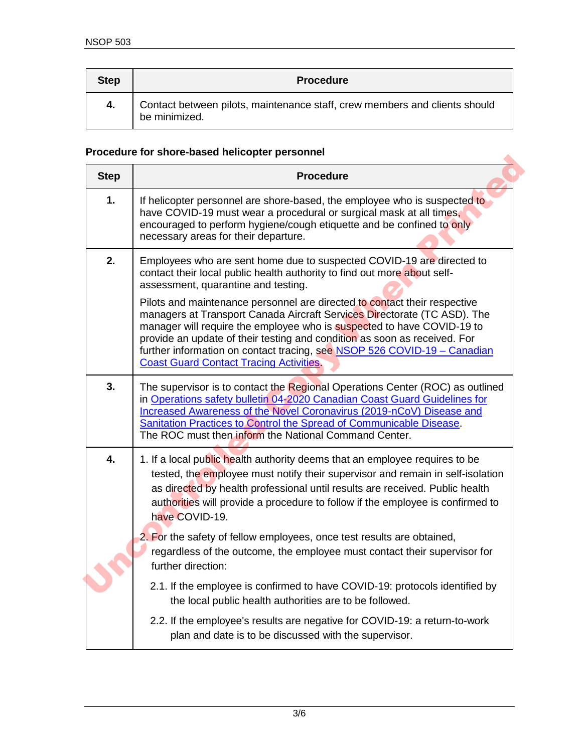| <b>Step</b> | <b>Procedure</b>                                                                            |
|-------------|---------------------------------------------------------------------------------------------|
| 4.          | Contact between pilots, maintenance staff, crew members and clients should<br>be minimized. |

### **Procedure for shore-based helicopter personnel**

| <b>Step</b> | <b>Procedure</b>                                                                                                                                                                                                                                                                                                                                                                                                                           |
|-------------|--------------------------------------------------------------------------------------------------------------------------------------------------------------------------------------------------------------------------------------------------------------------------------------------------------------------------------------------------------------------------------------------------------------------------------------------|
| 1.          | If helicopter personnel are shore-based, the employee who is suspected to<br>have COVID-19 must wear a procedural or surgical mask at all times,<br>encouraged to perform hygiene/cough etiquette and be confined to only<br>necessary areas for their departure.                                                                                                                                                                          |
| 2.          | Employees who are sent home due to suspected COVID-19 are directed to<br>contact their local public health authority to find out more about self-<br>assessment, quarantine and testing.                                                                                                                                                                                                                                                   |
|             | Pilots and maintenance personnel are directed to contact their respective<br>managers at Transport Canada Aircraft Services Directorate (TC ASD). The<br>manager will require the employee who is suspected to have COVID-19 to<br>provide an update of their testing and condition as soon as received. For<br>further information on contact tracing, see NSOP 526 COVID-19 - Canadian<br><b>Coast Guard Contact Tracing Activities.</b> |
| 3.          | The supervisor is to contact the Regional Operations Center (ROC) as outlined<br>in Operations safety bulletin 04-2020 Canadian Coast Guard Guidelines for<br>Increased Awareness of the Novel Coronavirus (2019-nCoV) Disease and<br>Sanitation Practices to Control the Spread of Communicable Disease.<br>The ROC must then inform the National Command Center.                                                                         |
| 4.          | 1. If a local public health authority deems that an employee requires to be<br>tested, the employee must notify their supervisor and remain in self-isolation<br>as directed by health professional until results are received. Public health<br>authorities will provide a procedure to follow if the employee is confirmed to<br>have COVID-19.                                                                                          |
|             | 2. For the safety of fellow employees, once test results are obtained,<br>regardless of the outcome, the employee must contact their supervisor for<br>further direction:                                                                                                                                                                                                                                                                  |
|             | 2.1. If the employee is confirmed to have COVID-19: protocols identified by<br>the local public health authorities are to be followed.                                                                                                                                                                                                                                                                                                     |
|             | 2.2. If the employee's results are negative for COVID-19: a return-to-work<br>plan and date is to be discussed with the supervisor.                                                                                                                                                                                                                                                                                                        |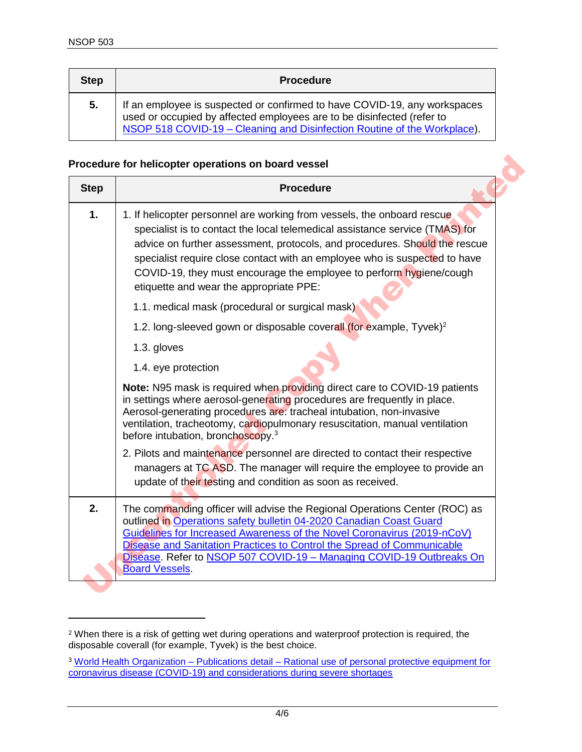| <b>Step</b> | <b>Procedure</b>                                                                                                                                                                                                                |
|-------------|---------------------------------------------------------------------------------------------------------------------------------------------------------------------------------------------------------------------------------|
| 5.          | If an employee is suspected or confirmed to have COVID-19, any workspaces<br>used or occupied by affected employees are to be disinfected (refer to<br>NSOP 518 COVID-19 - Cleaning and Disinfection Routine of the Workplace). |

#### **Procedure for helicopter operations on board vessel**

| <b>Step</b> | <b>Procedure</b>                                                                                                                                                                                                                                                                                                                                                                                                                      |
|-------------|---------------------------------------------------------------------------------------------------------------------------------------------------------------------------------------------------------------------------------------------------------------------------------------------------------------------------------------------------------------------------------------------------------------------------------------|
| 1.          | 1. If helicopter personnel are working from vessels, the onboard rescue<br>specialist is to contact the local telemedical assistance service (TMAS) for<br>advice on further assessment, protocols, and procedures. Should the rescue<br>specialist require close contact with an employee who is suspected to have<br>COVID-19, they must encourage the employee to perform hygiene/cough<br>etiquette and wear the appropriate PPE: |
|             | 1.1. medical mask (procedural or surgical mask)                                                                                                                                                                                                                                                                                                                                                                                       |
|             | 1.2. long-sleeved gown or disposable coverall (for example, Tyvek) <sup>2</sup>                                                                                                                                                                                                                                                                                                                                                       |
|             | 1.3. gloves                                                                                                                                                                                                                                                                                                                                                                                                                           |
|             | 1.4. eye protection                                                                                                                                                                                                                                                                                                                                                                                                                   |
|             | Note: N95 mask is required when providing direct care to COVID-19 patients<br>in settings where aerosol-generating procedures are frequently in place.<br>Aerosol-generating procedures are: tracheal intubation, non-invasive<br>ventilation, tracheotomy, cardiopulmonary resuscitation, manual ventilation<br>before intubation, bronchoscopy. <sup>3</sup>                                                                        |
|             | 2. Pilots and maintenance personnel are directed to contact their respective<br>managers at TC ASD. The manager will require the employee to provide an<br>update of their testing and condition as soon as received.                                                                                                                                                                                                                 |
| 2.          | The commanding officer will advise the Regional Operations Center (ROC) as<br>outlined in Operations safety bulletin 04-2020 Canadian Coast Guard<br>Guidelines for Increased Awareness of the Novel Coronavirus (2019-nCoV)<br>Disease and Sanitation Practices to Control the Spread of Communicable<br>Disease. Refer to NSOP 507 COVID-19 - Managing COVID-19 Outbreaks On<br><b>Board Vessels.</b>                               |

<sup>2</sup> When there is a risk of getting wet during operations and waterproof protection is required, the disposable coverall (for example, Tyvek) is the best choice.

<sup>3</sup> World Health Organization – Publications detail – [Rational use of personal protective equipment for](https://www.who.int/publications-detail/rational-use-of-personal-protective-equipment-for-coronavirus-disease-(covid-19)-and-considerations-during-severe-shortages)  [coronavirus disease \(COVID-19\) and considerations during severe shortages](https://www.who.int/publications-detail/rational-use-of-personal-protective-equipment-for-coronavirus-disease-(covid-19)-and-considerations-during-severe-shortages)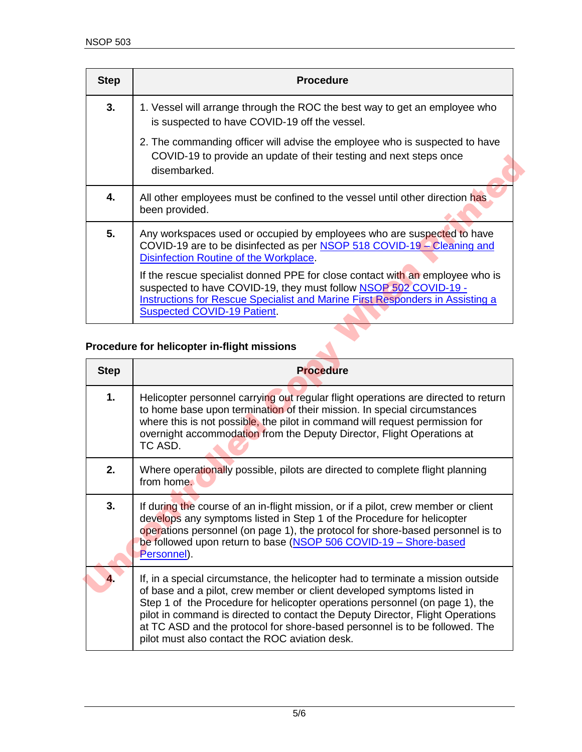| <b>Step</b> | <b>Procedure</b>                                                                                                                                                                                                                                                                |
|-------------|---------------------------------------------------------------------------------------------------------------------------------------------------------------------------------------------------------------------------------------------------------------------------------|
| 3.          | 1. Vessel will arrange through the ROC the best way to get an employee who<br>is suspected to have COVID-19 off the vessel.                                                                                                                                                     |
|             | 2. The commanding officer will advise the employee who is suspected to have<br>COVID-19 to provide an update of their testing and next steps once<br>disembarked.                                                                                                               |
| 4.          | All other employees must be confined to the vessel until other direction has<br>been provided.                                                                                                                                                                                  |
| 5.          | Any workspaces used or occupied by employees who are suspected to have<br>COVID-19 are to be disinfected as per NSOP 518 COVID-19 – Cleaning and<br>Disinfection Routine of the Workplace.                                                                                      |
|             | If the rescue specialist donned PPE for close contact with an employee who is<br>suspected to have COVID-19, they must follow NSOP 502 COVID-19 -<br><b>Instructions for Rescue Specialist and Marine First Responders in Assisting a</b><br><b>Suspected COVID-19 Patient.</b> |

### **Procedure for helicopter in-flight missions**

| disembarked.                                                                                                                                                                                                                                                                                                                                                                                                                                                           |  |
|------------------------------------------------------------------------------------------------------------------------------------------------------------------------------------------------------------------------------------------------------------------------------------------------------------------------------------------------------------------------------------------------------------------------------------------------------------------------|--|
| All other employees must be confined to the vessel until other direction has<br>been provided.                                                                                                                                                                                                                                                                                                                                                                         |  |
| Any workspaces used or occupied by employees who are suspected to have<br>COVID-19 are to be disinfected as per NSOP 518 COVID-19 - Cleaning and<br>Disinfection Routine of the Workplace.<br>If the rescue specialist donned PPE for close contact with an employee who is<br>suspected to have COVID-19, they must follow NSOP 502 COVID-19 -<br>Instructions for Rescue Specialist and Marine First Responders in Assisting a<br><b>Suspected COVID-19 Patient.</b> |  |
| Procedure for helicopter in-flight missions<br><b>Step</b><br><b>Procedure</b>                                                                                                                                                                                                                                                                                                                                                                                         |  |
|                                                                                                                                                                                                                                                                                                                                                                                                                                                                        |  |
| Helicopter personnel carrying out regular flight operations are directed to return<br>to home base upon termination of their mission. In special circumstances<br>where this is not possible, the pilot in command will request permission for<br>overnight accommodation from the Deputy Director, Flight Operations at<br>TC ASD.                                                                                                                                    |  |
|                                                                                                                                                                                                                                                                                                                                                                                                                                                                        |  |
| Where operationally possible, pilots are directed to complete flight planning<br>from home.                                                                                                                                                                                                                                                                                                                                                                            |  |
| If during the course of an in-flight mission, or if a pilot, crew member or client<br>develops any symptoms listed in Step 1 of the Procedure for helicopter<br>operations personnel (on page 1), the protocol for shore-based personnel is to<br>be followed upon return to base (NSOP 506 COVID-19 - Shore-based<br>Personnel).                                                                                                                                      |  |
|                                                                                                                                                                                                                                                                                                                                                                                                                                                                        |  |